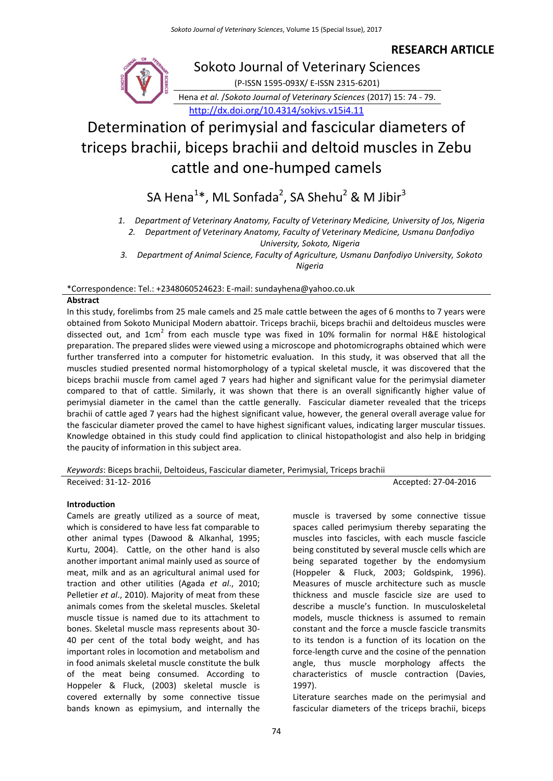# **RESEARCH ARTICLE**



# Determination of perimysial and fascicular diameters of triceps brachii, biceps brachii and deltoid muscles in Zebu cattle and one-humped camels

SA Hena $^{1*}$ , ML Sonfada $^{2}$ , SA Shehu $^{2}$  & M Jibir $^{3}$ 

*1. Department of Veterinary Anatomy, Faculty of Veterinary Medicine, University of Jos, Nigeria*

*2. Department of Veterinary Anatomy, Faculty of Veterinary Medicine, Usmanu Danfodiyo University, Sokoto, Nigeria*

*3. Department of Animal Science, Faculty of Agriculture, Usmanu Danfodiyo University, Sokoto Nigeria*

#### \*Correspondence: Tel.: +2348060524623: E-mail: sundayhena@yahoo.co.uk

## **Abstract**

In this study, forelimbs from 25 male camels and 25 male cattle between the ages of 6 months to 7 years were obtained from Sokoto Municipal Modern abattoir. Triceps brachii, biceps brachii and deltoideus muscles were dissected out, and  $1 \text{cm}^2$  from each muscle type was fixed in 10% formalin for normal H&E histological preparation. The prepared slides were viewed using a microscope and photomicrographs obtained which were further transferred into a computer for histometric evaluation. In this study, it was observed that all the muscles studied presented normal histomorphology of a typical skeletal muscle, it was discovered that the biceps brachii muscle from camel aged 7 years had higher and significant value for the perimysial diameter compared to that of cattle. Similarly, it was shown that there is an overall significantly higher value of perimysial diameter in the camel than the cattle generally. Fascicular diameter revealed that the triceps brachii of cattle aged 7 years had the highest significant value, however, the general overall average value for the fascicular diameter proved the camel to have highest significant values, indicating larger muscular tissues. Knowledge obtained in this study could find application to clinical histopathologist and also help in bridging the paucity of information in this subject area.

*Keywords*: Biceps brachii, Deltoideus, Fascicular diameter, Perimysial, Triceps brachii Received: 31-12- 2016 **Accepted: 27-04-2016** 

## **Introduction**

Camels are greatly utilized as a source of meat, which is considered to have less fat comparable to other animal types (Dawood & Alkanhal, 1995; Kurtu, 2004). Cattle, on the other hand is also another important animal mainly used as source of meat, milk and as an agricultural animal used for traction and other utilities (Agada *et al*., 2010; Pelletier *et al*., 2010). Majority of meat from these animals comes from the skeletal muscles. Skeletal muscle tissue is named due to its attachment to bones. Skeletal muscle mass represents about 30- 40 per cent of the total body weight, and has important roles in locomotion and metabolism and in food animals skeletal muscle constitute the bulk of the meat being consumed. According to Hoppeler & Fluck, (2003) skeletal muscle is covered externally by some connective tissue bands known as epimysium, and internally the

muscle is traversed by some connective tissue spaces called perimysium thereby separating the muscles into fascicles, with each muscle fascicle being constituted by several muscle cells which are being separated together by the endomysium (Hoppeler & Fluck, 2003; Goldspink, 1996). Measures of muscle architecture such as muscle thickness and muscle fascicle size are used to describe a muscle's function. In musculoskeletal models, muscle thickness is assumed to remain constant and the force a muscle fascicle transmits to its tendon is a function of its location on the force-length curve and the cosine of the pennation angle, thus muscle morphology affects the characteristics of muscle contraction (Davies, 1997).

Literature searches made on the perimysial and fascicular diameters of the triceps brachii, biceps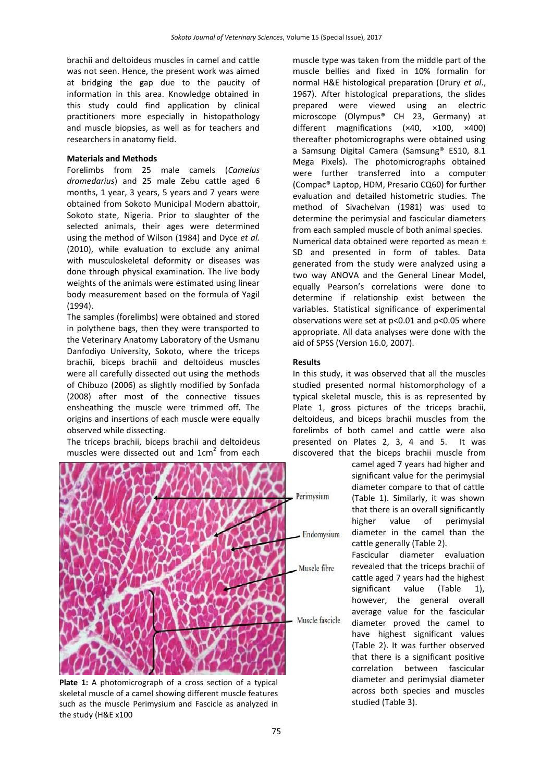brachii and deltoideus muscles in camel and cattle was not seen. Hence, the present work was aimed at bridging the gap due to the paucity of information in this area. Knowledge obtained in this study could find application by clinical practitioners more especially in histopathology and muscle biopsies, as well as for teachers and researchers in anatomy field.

#### **Materials and Methods**

Forelimbs from 25 male camels (*Camelus dromedarius*) and 25 male Zebu cattle aged 6 months, 1 year, 3 years, 5 years and 7 years were obtained from Sokoto Municipal Modern abattoir, Sokoto state, Nigeria. Prior to slaughter of the selected animals, their ages were determined using the method of Wilson (1984) and Dyce *et al.* (2010), while evaluation to exclude any animal with musculoskeletal deformity or diseases was done through physical examination. The live body weights of the animals were estimated using linear body measurement based on the formula of Yagil (1994).

The samples (forelimbs) were obtained and stored in polythene bags, then they were transported to the Veterinary Anatomy Laboratory of the Usmanu Danfodiyo University, Sokoto, where the triceps brachii, biceps brachii and deltoideus muscles were all carefully dissected out using the methods of Chibuzo (2006) as slightly modified by Sonfada (2008) after most of the connective tissues ensheathing the muscle were trimmed off. The origins and insertions of each muscle were equally observed while dissecting.

The triceps brachii, biceps brachii and deltoideus muscles were dissected out and  $1 \text{cm}^2$  from each muscle type was taken from the middle part of the muscle bellies and fixed in 10% formalin for normal H&E histological preparation (Drury *et al*., 1967). After histological preparations, the slides prepared were viewed using an electric microscope (Olympus® CH 23, Germany) at different magnifications (×40, ×100, ×400) thereafter photomicrographs were obtained using a Samsung Digital Camera (Samsung® ES10, 8.1 Mega Pixels). The photomicrographs obtained were further transferred into a computer (Compac® Laptop, HDM, Presario CQ60) for further evaluation and detailed histometric studies. The method of Sivachelvan (1981) was used to determine the perimysial and fascicular diameters from each sampled muscle of both animal species. Numerical data obtained were reported as mean ± SD and presented in form of tables. Data generated from the study were analyzed using a two way ANOVA and the General Linear Model, equally Pearson's correlations were done to determine if relationship exist between the variables. Statistical significance of experimental observations were set at p<0.01 and p<0.05 where appropriate. All data analyses were done with the aid of SPSS (Version 16.0, 2007).

#### **Results**

In this study, it was observed that all the muscles studied presented normal histomorphology of a typical skeletal muscle, this is as represented by Plate 1, gross pictures of the triceps brachii, deltoideus, and biceps brachii muscles from the forelimbs of both camel and cattle were also presented on Plates 2, 3, 4 and 5. It was discovered that the biceps brachii muscle from

Perimysium Endomysium Muscle fibre Muscle fascicle

Plate 1: A photomicrograph of a cross section of a typical skeletal muscle of a camel showing different muscle features such as the muscle Perimysium and Fascicle as analyzed in the study (H&E x100

camel aged 7 years had higher and significant value for the perimysial diameter compare to that of cattle (Table 1). Similarly, it was shown that there is an overall significantly higher value of perimysial diameter in the camel than the cattle generally (Table 2).

Fascicular diameter evaluation revealed that the triceps brachii of cattle aged 7 years had the highest significant value (Table 1), however, the general overall average value for the fascicular diameter proved the camel to have highest significant values (Table 2). It was further observed that there is a significant positive correlation between fascicular diameter and perimysial diameter across both species and muscles studied (Table 3).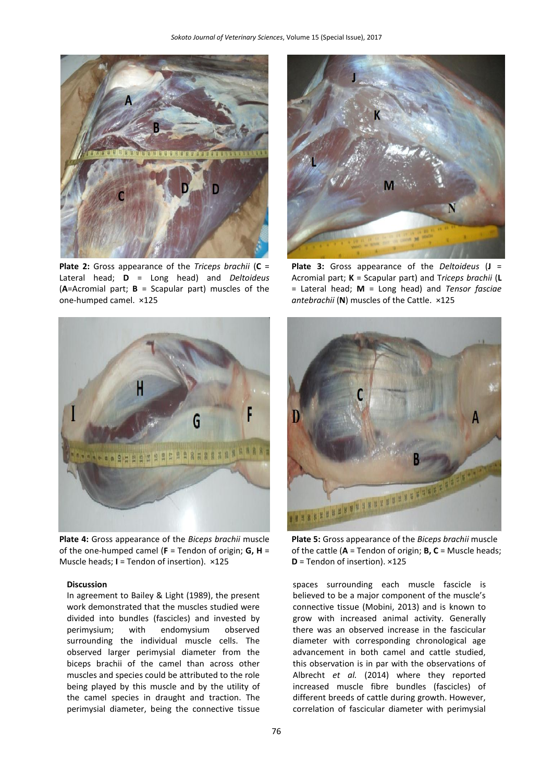

**Plate 2:** Gross appearance of the *Triceps brachii* (**C** = Lateral head; **D** = Long head) and *Deltoideus* (**A**=Acromial part; **B** = Scapular part) muscles of the one-humped camel. ×125



**Plate 3:** Gross appearance of the *Deltoideus* (**J** = Acromial part; **K** = Scapular part) and T*riceps brachii* (**L**  = Lateral head; **M** = Long head) and *Tensor fasciae antebrachii* (**N**) muscles of the Cattle. ×125



**Plate 4:** Gross appearance of the *Biceps brachii* muscle of the one-humped camel (**F** = Tendon of origin; **G, H** = Muscle heads; **I** = Tendon of insertion). ×125

#### **Discussion**

In agreement to Bailey & Light (1989), the present work demonstrated that the muscles studied were divided into bundles (fascicles) and invested by perimysium; with endomysium observed surrounding the individual muscle cells. The observed larger perimysial diameter from the biceps brachii of the camel than across other muscles and species could be attributed to the role being played by this muscle and by the utility of the camel species in draught and traction. The perimysial diameter, being the connective tissue



**Plate 5:** Gross appearance of the *Biceps brachii* muscle of the cattle (**A** = Tendon of origin; **B, C** = Muscle heads; **D** = Tendon of insertion). ×125

spaces surrounding each muscle fascicle is believed to be a major component of the muscle's connective tissue (Mobini, 2013) and is known to grow with increased animal activity. Generally there was an observed increase in the fascicular diameter with corresponding chronological age advancement in both camel and cattle studied, this observation is in par with the observations of Albrecht *et al.* (2014) where they reported increased muscle fibre bundles (fascicles) of different breeds of cattle during growth. However, correlation of fascicular diameter with perimysial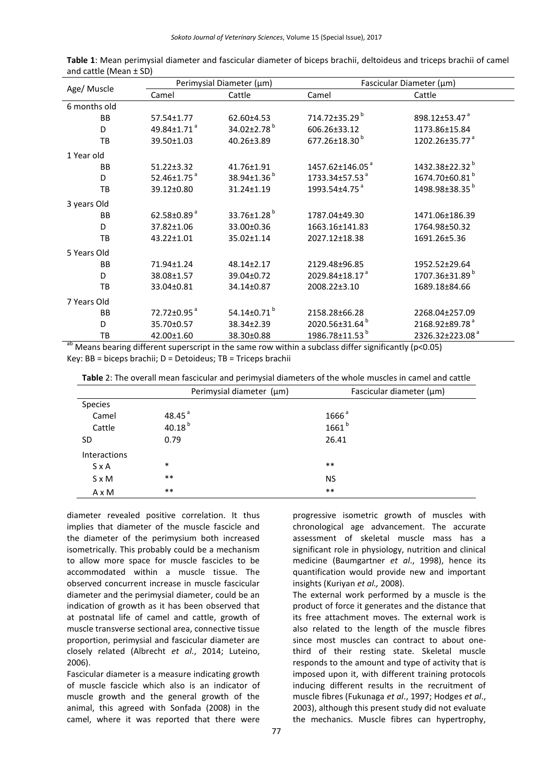| Age/ Muscle  | Perimysial Diameter (µm) |                         | Fascicular Diameter (µm)    |                             |
|--------------|--------------------------|-------------------------|-----------------------------|-----------------------------|
|              | Camel                    | Cattle                  | Camel                       | Cattle                      |
| 6 months old |                          |                         |                             |                             |
| BB           | 57.54±1.77               | 62.60±4.53              | 714.72±35.29 <sup>b</sup>   | 898.12±53.47 <sup>a</sup>   |
| D            | 49.84±1.71 <sup>a</sup>  | 34.02±2.78 <sup>b</sup> | 606.26±33.12                | 1173.86±15.84               |
| TB           | 39.50±1.03               | 40.26±3.89              | 677.26±18.30 <sup>b</sup>   | 1202.26±35.77 <sup>a</sup>  |
| 1 Year old   |                          |                         |                             |                             |
| BB           | $51.22 \pm 3.32$         | 41.76±1.91              | 1457.62±146.05 <sup>a</sup> | 1432.38±22.32 <sup>b</sup>  |
| D            | 52.46 $\pm$ 1.75 $^{a}$  | 38.94±1.36 <sup>b</sup> | 1733.34±57.53 <sup>ª</sup>  | 1674.70±60.81 <sup>b</sup>  |
| TВ           | 39.12±0.80               | 31.24±1.19              | 1993.54±4.75 <sup>a</sup>   | 1498.98±38.35 <sup>b</sup>  |
| 3 years Old  |                          |                         |                             |                             |
| <b>BB</b>    | 62.58±0.89 $^{a}$        | 33.76±1.28 <sup>b</sup> | 1787.04±49.30               | 1471.06±186.39              |
| D            | 37.82±1.06               | 33.00±0.36              | 1663.16±141.83              | 1764.98±50.32               |
| TВ           | 43.22±1.01               | 35.02±1.14              | 2027.12±18.38               | 1691.26±5.36                |
| 5 Years Old  |                          |                         |                             |                             |
| <b>BB</b>    | 71.94±1.24               | 48.14±2.17              | 2129.48±96.85               | 1952.52±29.64               |
| D            | 38.08±1.57               | 39.04±0.72              | 2029.84±18.17 <sup>a</sup>  | 1707.36±31.89 <sup>b</sup>  |
| TВ           | 33.04±0.81               | 34.14±0.87              | 2008.22±3.10                | 1689.18±84.66               |
| 7 Years Old  |                          |                         |                             |                             |
| BB           | 72.72±0.95 <sup>a</sup>  | 54.14±0.71 <sup>b</sup> | 2158.28±66.28               | 2268.04±257.09              |
| D            | 35.70±0.57               | 38.34±2.39              | 2020.56±31.64 <sup>b</sup>  | 2168.92±89.78 <sup>a</sup>  |
| ТB           | 42.00±1.60               | 38.30±0.88              | 1986.78±11.53 <sup>b</sup>  | 2326.32±223.08 <sup>a</sup> |

**Table 1**: Mean perimysial diameter and fascicular diameter of biceps brachii, deltoideus and triceps brachii of camel and cattle (Mean ± SD)

 $a<sup>b</sup>$  Means bearing different superscript in the same row within a subclass differ significantly (p<0.05) Key: BB = biceps brachii; D = Detoideus; TB = Triceps brachii

**Table** 2: The overall mean fascicular and perimysial diameters of the whole muscles in camel and cattle

|                     | Perimysial diameter (µm) | Fascicular diameter (µm) |
|---------------------|--------------------------|--------------------------|
| <b>Species</b>      |                          |                          |
| Camel               | 48.45 $^{a}$             | 1666 <sup>a</sup>        |
| Cattle              | 40.18 <sup>b</sup>       | 1661 <sup>b</sup>        |
| SD                  | 0.79                     | 26.41                    |
| <b>Interactions</b> |                          |                          |
| $S \times A$        | $\ast$                   | $***$                    |
| $S \times M$        | $***$                    | <b>NS</b>                |
| $A \times M$        | $***$                    | $***$                    |

diameter revealed positive correlation. It thus implies that diameter of the muscle fascicle and the diameter of the perimysium both increased isometrically. This probably could be a mechanism to allow more space for muscle fascicles to be accommodated within a muscle tissue. The observed concurrent increase in muscle fascicular diameter and the perimysial diameter, could be an indication of growth as it has been observed that at postnatal life of camel and cattle, growth of muscle transverse sectional area, connective tissue proportion, perimysial and fascicular diameter are closely related (Albrecht *et al.*, 2014; Luteino, 2006).

Fascicular diameter is a measure indicating growth of muscle fascicle which also is an indicator of muscle growth and the general growth of the animal, this agreed with Sonfada (2008) in the camel, where it was reported that there were

progressive isometric growth of muscles with chronological age advancement. The accurate assessment of skeletal muscle mass has a significant role in physiology, nutrition and clinical medicine (Baumgartner *et al*., 1998), hence its quantification would provide new and important insights (Kuriyan *et al.,* 2008).

The external work performed by a muscle is the product of force it generates and the distance that its free attachment moves. The external work is also related to the length of the muscle fibres since most muscles can contract to about onethird of their resting state. Skeletal muscle responds to the amount and type of activity that is imposed upon it, with different training protocols inducing different results in the recruitment of muscle fibres (Fukunaga *et al*., 1997; Hodges *et al*., 2003), although this present study did not evaluate the mechanics. Muscle fibres can hypertrophy,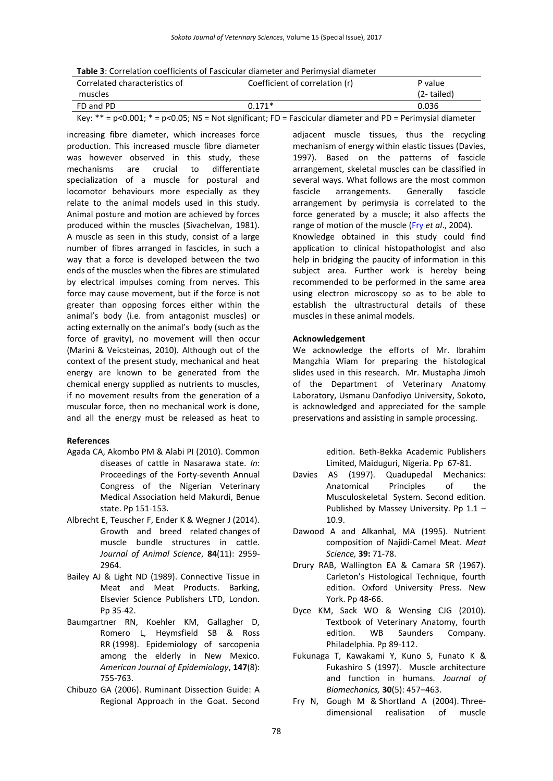**Table 3**: Correlation coefficients of Fascicular diameter and Perimysial diameter

| Correlated characteristics of | Coefficient of correlation (r) | P value    |
|-------------------------------|--------------------------------|------------|
| muscles                       |                                | (2-tailed) |
| FD and PD                     | $0.171*$                       | 0.036      |
|                               |                                |            |

Key:  $** = p<0.001$ ;  $*= p<0.05$ ; NS = Not significant; FD = Fascicular diameter and PD = Perimysial diameter

increasing fibre diameter, which increases force production. This increased muscle fibre diameter was however observed in this study, these mechanisms are crucial to differentiate specialization of a muscle for postural and locomotor behaviours more especially as they relate to the animal models used in this study. Animal posture and motion are achieved by forces produced within the muscles (Sivachelvan, 1981). A muscle as seen in this study, consist of a large number of fibres arranged in fascicles, in such a way that a force is developed between the two ends of the muscles when the fibres are stimulated by electrical impulses coming from nerves. This force may cause movement, but if the force is not greater than opposing forces either within the animal's body (i.e. from antagonist muscles) or acting externally on the animal's body (such as the force of gravity), no movement will then occur (Marini & Veicsteinas, 2010). Although out of the context of the present study, mechanical and heat energy are known to be generated from the chemical energy supplied as nutrients to muscles, if no movement results from the generation of a muscular force, then no mechanical work is done, and all the energy must be released as heat to

#### **References**

- Agada CA, Akombo PM & Alabi PI (2010). Common diseases of cattle in Nasarawa state. *In*: Proceedings of the Forty-seventh Annual Congress of the Nigerian Veterinary Medical Association held Makurdi, Benue state. Pp 151-153.
- Albrecht E, Teuscher F, Ender K & Wegner J (2014). Growth and breed related changes of muscle bundle structures in cattle. *Journal of Animal Science*, **84**(11): 2959- 2964.
- Bailey AJ & Light ND (1989). Connective Tissue in Meat and Meat Products. Barking, Elsevier Science Publishers LTD, London. Pp 35-42.
- Baumgartner RN, Koehler KM, Gallagher D, Romero L, Heymsfield SB & Ross RR (1998). Epidemiology of sarcopenia among the elderly in New Mexico. *American Journal of Epidemiology*, **147**(8): 755-763.
- Chibuzo GA (2006). Ruminant Dissection Guide: A Regional Approach in the Goat. Second

adjacent muscle tissues, thus the recycling mechanism of energy within elastic tissues (Davies, 1997). Based on the patterns of fascicle arrangement, skeletal muscles can be classified in several ways. What follows are the most common fascicle arrangements. Generally fascicle arrangement by perimysia is correlated to the force generated by a muscle; it also affects the range of motion of the muscle [\(Fry](https://www.bibsonomy.org/person/1a86f6d7c0683114660c2b19dc085d458/author/0) *et al*., 2004). Knowledge obtained in this study could find application to clinical histopathologist and also help in bridging the paucity of information in this

subject area. Further work is hereby being recommended to be performed in the same area using electron microscopy so as to be able to establish the ultrastructural details of these muscles in these animal models.

#### **Acknowledgement**

We acknowledge the efforts of Mr. Ibrahim Mangzhia Wiam for preparing the histological slides used in this research. Mr. Mustapha Jimoh of the Department of Veterinary Anatomy Laboratory, Usmanu Danfodiyo University, Sokoto, is acknowledged and appreciated for the sample preservations and assisting in sample processing.

> edition. Beth-Bekka Academic Publishers Limited, Maiduguri, Nigeria. Pp 67-81.

- Davies AS (1997). Quadupedal Mechanics: Anatomical Principles of the Musculoskeletal System. Second edition. Published by Massey University. Pp 1.1 – 10.9.
- Dawood A and Alkanhal, MA (1995). Nutrient composition of Najidi-Camel Meat. *Meat Science,* **39:** 71-78.
- Drury RAB, Wallington EA & Camara SR (1967). Carleton's Histological Technique, fourth edition. Oxford University Press. New York. Pp 48-66.
- Dyce KM, Sack WO & Wensing CJG (2010). Textbook of Veterinary Anatomy, fourth edition. WB Saunders Company. Philadelphia. Pp 89-112.
- Fukunaga T, Kawakami Y, Kuno S, Funato K & Fukashiro S (1997). Muscle architecture and function in humans. *Journal of Biomechanics,* **30**(5): 457–463.
- [Fry](https://www.bibsonomy.org/person/1a86f6d7c0683114660c2b19dc085d458/author/0) N, [Gough](https://www.bibsonomy.org/person/1a86f6d7c0683114660c2b19dc085d458/author/1) M & [Shortland](https://www.bibsonomy.org/person/1a86f6d7c0683114660c2b19dc085d458/author/2) A (2004). Threedimensional realisation of muscle